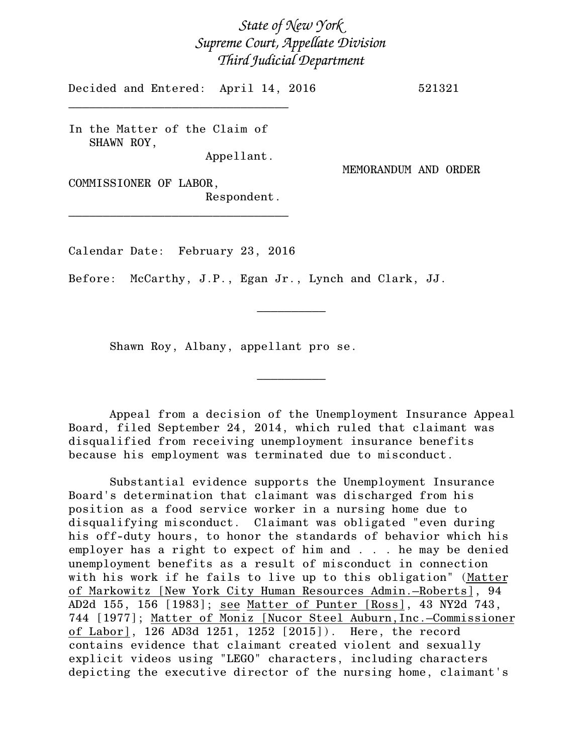## *State of New York Supreme Court, Appellate Division Third Judicial Department*

Decided and Entered: April 14, 2016 521321

In the Matter of the Claim of SHAWN ROY,

\_\_\_\_\_\_\_\_\_\_\_\_\_\_\_\_\_\_\_\_\_\_\_\_\_\_\_\_\_\_\_\_

Appellant.

MEMORANDUM AND ORDER

COMMISSIONER OF LABOR, Respondent.

\_\_\_\_\_\_\_\_\_\_\_\_\_\_\_\_\_\_\_\_\_\_\_\_\_\_\_\_\_\_\_\_

Calendar Date: February 23, 2016

Before: McCarthy, J.P., Egan Jr., Lynch and Clark, JJ.

Shawn Roy, Albany, appellant pro se.

Appeal from a decision of the Unemployment Insurance Appeal Board, filed September 24, 2014, which ruled that claimant was disqualified from receiving unemployment insurance benefits because his employment was terminated due to misconduct.

 $\frac{1}{2}$ 

 $\frac{1}{2}$ 

Substantial evidence supports the Unemployment Insurance Board's determination that claimant was discharged from his position as a food service worker in a nursing home due to disqualifying misconduct. Claimant was obligated "even during his off-duty hours, to honor the standards of behavior which his employer has a right to expect of him and . . . he may be denied unemployment benefits as a result of misconduct in connection with his work if he fails to live up to this obligation" (Matter of Markowitz [New York City Human Resources Admin.–Roberts], 94 AD2d 155, 156 [1983]; see Matter of Punter [Ross], 43 NY2d 743, 744 [1977]; Matter of Moniz [Nucor Steel Auburn,Inc.–Commissioner of Labor], 126 AD3d 1251, 1252 [2015]). Here, the record contains evidence that claimant created violent and sexually explicit videos using "LEGO" characters, including characters depicting the executive director of the nursing home, claimant's